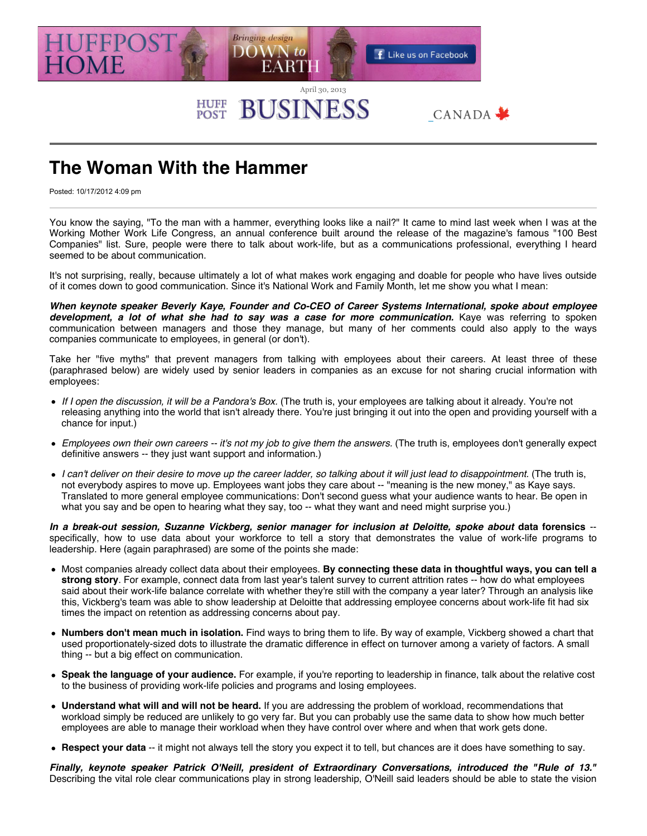

## **HUFF**<br>POST **BUSINESS**

## **The Woman With the Hammer**

Posted: 10/17/2012 4:09 pm

You know the saying, "To the man with a hammer, everything looks like a nail?" It came to mind last week when I was at the Working Mother Work Life Congress, an annual conference built around the release of the magazine's famous "100 Best Companies" list. Sure, people were there to talk about work-life, but as a communications professional, everything I heard seemed to be about communication.

CANADA \*

It's not surprising, really, because ultimately a lot of what makes work engaging and doable for people who have lives outside of it comes down to good communication. Since it's National Work and Family Month, let me show you what I mean:

*When keynote speaker Beverly Kaye, Founder and Co-CEO of Career Systems International, spoke about employee* development, a lot of what she had to say was a case for more communication. Kaye was referring to spoken communication between managers and those they manage, but many of her comments could also apply to the ways companies communicate to employees, in general (or don't).

Take her "five myths" that prevent managers from talking with employees about their careers. At least three of these (paraphrased below) are widely used by senior leaders in companies as an excuse for not sharing crucial information with employees:

- *If I open the discussion, it will be a Pandora's Box.* (The truth is, your employees are talking about it already. You're not releasing anything into the world that isn't already there. You're just bringing it out into the open and providing yourself with a chance for input.)
- *Employees own their own careers -- it's not my job to give them the answers.* (The truth is, employees don't generally expect definitive answers -- they just want support and information.)
- *I can't deliver on their desire to move up the career ladder, so talking about it will just lead to disappointment.* (The truth is, not everybody aspires to move up. Employees want jobs they care about -- "meaning is the new money," as Kaye says. Translated to more general employee communications: Don't second guess what your audience wants to hear. Be open in what you say and be open to hearing what they say, too -- what they want and need might surprise you.)

*In a break-out session, Suzanne Vickberg, senior manager for inclusion at Deloitte, spoke about* **data forensics** - specifically, how to use data about your workforce to tell a story that demonstrates the value of work-life programs to leadership. Here (again paraphrased) are some of the points she made:

- Most companies already collect data about their employees. **By connecting these data in thoughtful ways, you can tell a strong story**. For example, connect data from last year's talent survey to current attrition rates -- how do what employees said about their work-life balance correlate with whether they're still with the company a year later? Through an analysis like this, Vickberg's team was able to show leadership at Deloitte that addressing employee concerns about work-life fit had six times the impact on retention as addressing concerns about pay.
- **Numbers don't mean much in isolation.** Find ways to bring them to life. By way of example, Vickberg showed a chart that used proportionately-sized dots to illustrate the dramatic difference in effect on turnover among a variety of factors. A small thing -- but a big effect on communication.
- **Speak the language of your audience.** For example, if you're reporting to leadership in finance, talk about the relative cost to the business of providing work-life policies and programs and losing employees.
- **Understand what will and will not be heard.** If you are addressing the problem of workload, recommendations that workload simply be reduced are unlikely to go very far. But you can probably use the same data to show how much better employees are able to manage their workload when they have control over where and when that work gets done.
- **Respect your data** -- it might not always tell the story you expect it to tell, but chances are it does have something to say.

*Finally, keynote speaker Patrick O'Neill, president of Extraordinary Conversations, introduced the "Rule of 13."* Describing the vital role clear communications play in strong leadership, O'Neill said leaders should be able to state the vision